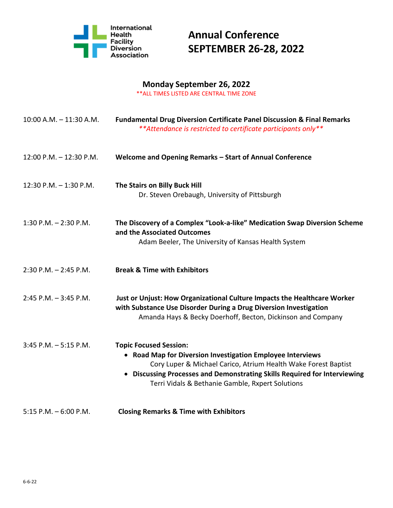

#### **Monday September 26, 2022**

\*\*ALL TIMES LISTED ARE CENTRAL TIME ZONE

| 10:00 A.M. - 11:30 A.M.  | <b>Fundamental Drug Diversion Certificate Panel Discussion &amp; Final Remarks</b><br>** Attendance is restricted to certificate participants only**                                                                                                                                           |
|--------------------------|------------------------------------------------------------------------------------------------------------------------------------------------------------------------------------------------------------------------------------------------------------------------------------------------|
| 12:00 P.M. - 12:30 P.M.  | Welcome and Opening Remarks - Start of Annual Conference                                                                                                                                                                                                                                       |
| 12:30 P.M. $-$ 1:30 P.M. | The Stairs on Billy Buck Hill<br>Dr. Steven Orebaugh, University of Pittsburgh                                                                                                                                                                                                                 |
| 1:30 P.M. $-$ 2:30 P.M.  | The Discovery of a Complex "Look-a-like" Medication Swap Diversion Scheme<br>and the Associated Outcomes<br>Adam Beeler, The University of Kansas Health System                                                                                                                                |
| $2:30$ P.M. $-2:45$ P.M. | <b>Break &amp; Time with Exhibitors</b>                                                                                                                                                                                                                                                        |
| $2:45$ P.M. $-3:45$ P.M. | Just or Unjust: How Organizational Culture Impacts the Healthcare Worker<br>with Substance Use Disorder During a Drug Diversion Investigation<br>Amanda Hays & Becky Doerhoff, Becton, Dickinson and Company                                                                                   |
| $3:45$ P.M. $-5:15$ P.M. | <b>Topic Focused Session:</b><br>• Road Map for Diversion Investigation Employee Interviews<br>Cory Luper & Michael Carico, Atrium Health Wake Forest Baptist<br>• Discussing Processes and Demonstrating Skills Required for Interviewing<br>Terri Vidals & Bethanie Gamble, Rxpert Solutions |
| $5:15$ P.M. $-6:00$ P.M. | <b>Closing Remarks &amp; Time with Exhibitors</b>                                                                                                                                                                                                                                              |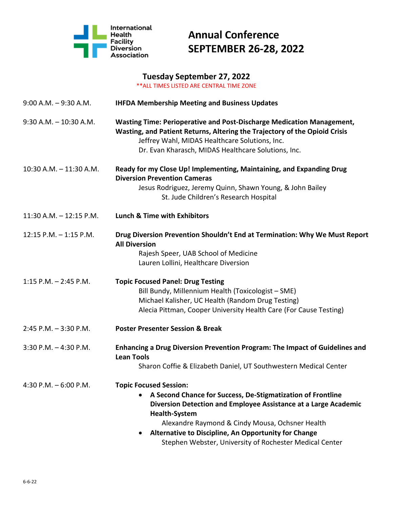

### **Tuesday September 27, 2022**

\*\*ALL TIMES LISTED ARE CENTRAL TIME ZONE

| $9:00$ A.M. $-9:30$ A.M.  | <b>IHFDA Membership Meeting and Business Updates</b>                                                                                                                                                                                                                                                                                                          |
|---------------------------|---------------------------------------------------------------------------------------------------------------------------------------------------------------------------------------------------------------------------------------------------------------------------------------------------------------------------------------------------------------|
| $9:30$ A.M. $-10:30$ A.M. | Wasting Time: Perioperative and Post-Discharge Medication Management,<br>Wasting, and Patient Returns, Altering the Trajectory of the Opioid Crisis<br>Jeffrey Wahl, MIDAS Healthcare Solutions, Inc.<br>Dr. Evan Kharasch, MIDAS Healthcare Solutions, Inc.                                                                                                  |
| 10:30 A.M. - 11:30 A.M.   | Ready for my Close Up! Implementing, Maintaining, and Expanding Drug<br><b>Diversion Prevention Cameras</b><br>Jesus Rodriguez, Jeremy Quinn, Shawn Young, & John Bailey<br>St. Jude Children's Research Hospital                                                                                                                                             |
| 11:30 A.M. - 12:15 P.M.   | <b>Lunch &amp; Time with Exhibitors</b>                                                                                                                                                                                                                                                                                                                       |
| $12:15$ P.M. $-1:15$ P.M. | Drug Diversion Prevention Shouldn't End at Termination: Why We Must Report<br><b>All Diversion</b><br>Rajesh Speer, UAB School of Medicine<br>Lauren Lollini, Healthcare Diversion                                                                                                                                                                            |
| $1:15$ P.M. $- 2:45$ P.M. | <b>Topic Focused Panel: Drug Testing</b><br>Bill Bundy, Millennium Health (Toxicologist - SME)<br>Michael Kalisher, UC Health (Random Drug Testing)<br>Alecia Pittman, Cooper University Health Care (For Cause Testing)                                                                                                                                      |
| $2:45$ P.M. $-3:30$ P.M.  | <b>Poster Presenter Session &amp; Break</b>                                                                                                                                                                                                                                                                                                                   |
| $3:30$ P.M. $-4:30$ P.M.  | Enhancing a Drug Diversion Prevention Program: The Impact of Guidelines and<br><b>Lean Tools</b><br>Sharon Coffie & Elizabeth Daniel, UT Southwestern Medical Center                                                                                                                                                                                          |
| 4:30 P.M. - 6:00 P.M.     | <b>Topic Focused Session:</b><br>A Second Chance for Success, De-Stigmatization of Frontline<br>Diversion Detection and Employee Assistance at a Large Academic<br><b>Health-System</b><br>Alexandre Raymond & Cindy Mousa, Ochsner Health<br>Alternative to Discipline, An Opportunity for Change<br>Stephen Webster, University of Rochester Medical Center |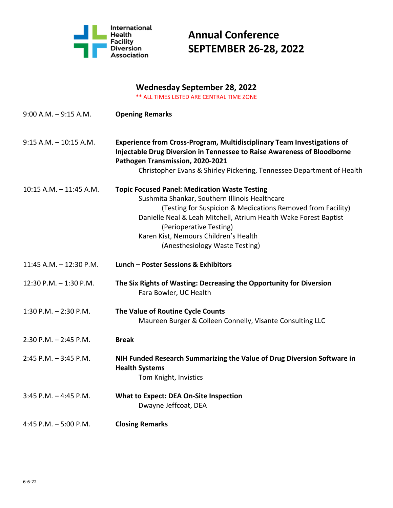

### **Wednesday September 28, 2022**

\*\* ALL TIMES LISTED ARE CENTRAL TIME ZONE

| $9:00$ A.M. $-9:15$ A.M.   | <b>Opening Remarks</b>                                                                                                                                                                                                                                                                                                                          |
|----------------------------|-------------------------------------------------------------------------------------------------------------------------------------------------------------------------------------------------------------------------------------------------------------------------------------------------------------------------------------------------|
| $9:15$ A.M. $-10:15$ A.M.  | <b>Experience from Cross-Program, Multidisciplinary Team Investigations of</b><br><b>Injectable Drug Diversion in Tennessee to Raise Awareness of Bloodborne</b><br>Pathogen Transmission, 2020-2021<br>Christopher Evans & Shirley Pickering, Tennessee Department of Health                                                                   |
| $10:15$ A.M. $-11:45$ A.M. |                                                                                                                                                                                                                                                                                                                                                 |
|                            | <b>Topic Focused Panel: Medication Waste Testing</b><br>Sushmita Shankar, Southern Illinois Healthcare<br>(Testing for Suspicion & Medications Removed from Facility)<br>Danielle Neal & Leah Mitchell, Atrium Health Wake Forest Baptist<br>(Perioperative Testing)<br>Karen Kist, Nemours Children's Health<br>(Anesthesiology Waste Testing) |
| $11:45$ A.M. $-12:30$ P.M. | Lunch - Poster Sessions & Exhibitors                                                                                                                                                                                                                                                                                                            |
| 12:30 P.M. - 1:30 P.M.     | The Six Rights of Wasting: Decreasing the Opportunity for Diversion<br>Fara Bowler, UC Health                                                                                                                                                                                                                                                   |
| $1:30$ P.M. $-2:30$ P.M.   | The Value of Routine Cycle Counts<br>Maureen Burger & Colleen Connelly, Visante Consulting LLC                                                                                                                                                                                                                                                  |
| $2:30$ P.M. $-2:45$ P.M.   | <b>Break</b>                                                                                                                                                                                                                                                                                                                                    |
| $2:45$ P.M. $-3:45$ P.M.   | NIH Funded Research Summarizing the Value of Drug Diversion Software in<br><b>Health Systems</b><br>Tom Knight, Invistics                                                                                                                                                                                                                       |
| $3:45$ P.M. $-4:45$ P.M.   | <b>What to Expect: DEA On-Site Inspection</b><br>Dwayne Jeffcoat, DEA                                                                                                                                                                                                                                                                           |
| 4:45 P.M. $-5:00$ P.M.     | <b>Closing Remarks</b>                                                                                                                                                                                                                                                                                                                          |
|                            |                                                                                                                                                                                                                                                                                                                                                 |